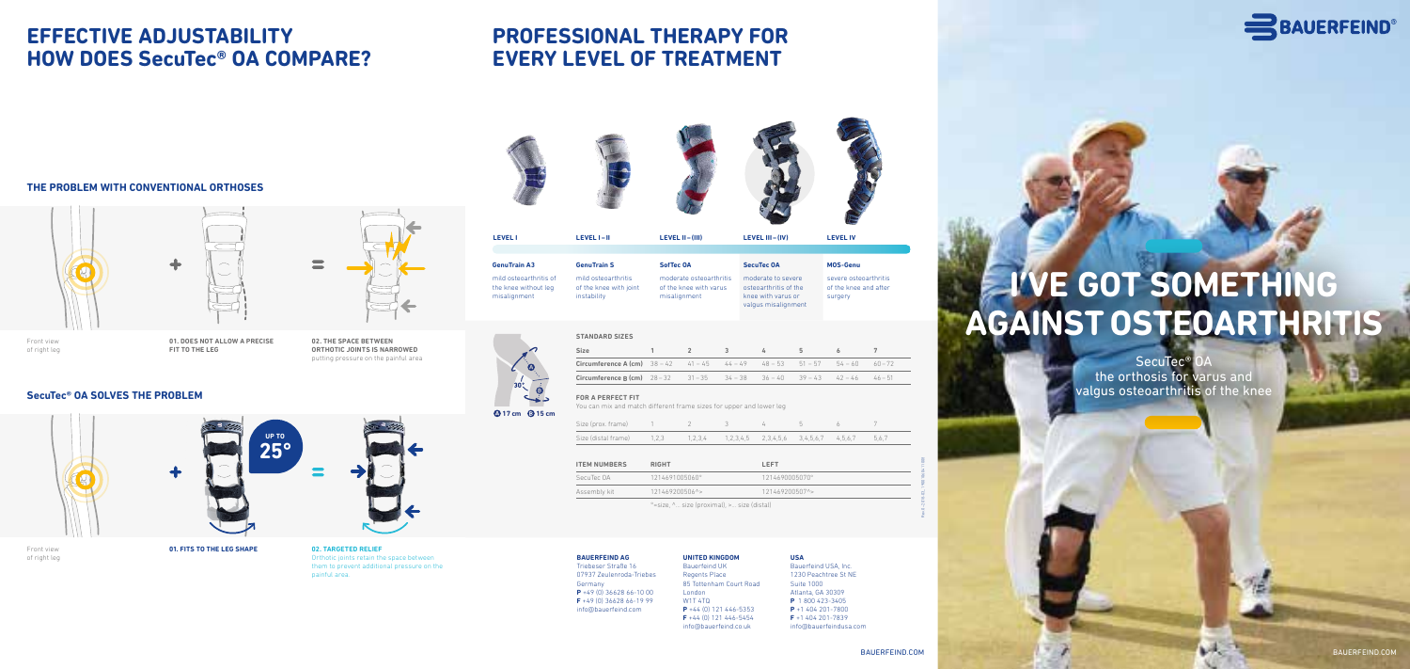BAUERFEIND.COM BAUERFEIND.COM



#### **Circumference A (cm)**  $38 - 42$   $41 - 45$ **Circumference B (cm)**  $28-32$   $31-35$

Rev.0–2018-03\_ 19001060411008

# **I'VE GOT SOMETHING AGAINST OSTEOARTHRITIS**

 $SecuTec^@$ the orthosis for varus and valgus osteoarthritis of the knee

moderate osteoart of the knee with va misalignment

the knee without leg misalignment instability

of the knee with joint

|                | <b>SecuTec OA</b>                                                                        | <b>MOS-Genu</b>                                           |
|----------------|------------------------------------------------------------------------------------------|-----------------------------------------------------------|
| hritis<br>irus | moderate to severe<br>osteoarthritis of the<br>knee with varus or<br>valgus misalignment | severe osteoarthritis<br>of the knee and after<br>surgery |
|                |                                                                                          |                                                           |

|  |                                                   | 5 |  |
|--|---------------------------------------------------|---|--|
|  | $44 - 49$ $48 - 53$ $51 - 57$ $54 - 60$ $60 - 72$ |   |  |
|  | $34 - 38$ $36 - 40$ $39 - 43$ $42 - 46$ $46 - 51$ |   |  |

**STANDARD SIZES**

**Size 1 2 3 4 5 6 7**

**FOR A PERFECT FIT**

You can mix and match different frame sizes for upper and lower leg

| Size (prox. frame)                                                                          |  |  |  |  |
|---------------------------------------------------------------------------------------------|--|--|--|--|
| Size (distal frame) $1,2,3$ $1,2,3,4$ $1,2,3,4,5$ $2,3,4,5,6$ $3,4,5,6,7$ $4,5,6,7$ $5,6,7$ |  |  |  |  |

| <b>ITEM NUMBERS</b> | <b>RIGHT</b>           | <b>LEFT</b>    |  |
|---------------------|------------------------|----------------|--|
| SecuTec OA          | 1214691005060°         | 1214690005070° |  |
| Assembly kit        | $121469200506^{\circ}$ | 121469200507^> |  |
|                     |                        |                |  |

°=size, ^… size (proximal), >… size (distal)



**01. FITS TO THE LEG SHAPE 02. TARGETED RELIEF**

Orthotic joints retain the space between them to prevent additional pressure on the painful area.







**01. DOES NOT ALLOW A PRECISE FIT TO THE LEG**



**02. THE SPACE BETWEEN ORTHOTIC JOINTS IS NARROWED** putting pressure on the painful area

Front view of right leg





of right leg



#### **SecuTec® OA SOLVES THE PROBLEM**



### **EFFECTIVE ADJUSTABILITY HOW DOES SecuTec® OA COMPARE?**

#### **THE PROBLEM WITH CONVENTIONAL ORTHOSES**

# **PROFESSIONAL THERAPY FOR EVERY LEVEL OF TREATMENT**

#### **BAUERFEIND AG**

Triebeser Straße 16 07937 Zeulenroda-Triebes Germany **P** +49 (0) 36628 66-10 00 **F** +49 (0) 36628 66-19 99 info@bauerfeind.com

### **UNITED KINGDOM**

Bauerfeind UK Regents Place London W1T 4TQ

85 Tottenham Court Road

**P** +44 (0) 121 446-5353 **F** +44 (0) 121 446-5454 info@bauerfeind.co.uk

#### **USA** Bauerfeind USA, Inc. 1230 Peachtree St NE Suite 1000 Atlanta, GA 30309

**P** 1 800 423-3405 **P** +1 404 201-7800 **F** +1 404 201-7839 info@bauerfeindusa.com